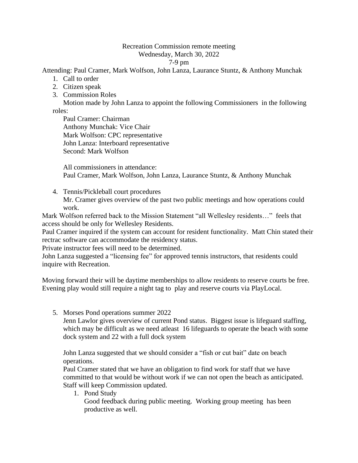## Recreation Commission remote meeting Wednesday, March 30, 2022

7-9 pm

Attending: Paul Cramer, Mark Wolfson, John Lanza, Laurance Stuntz, & Anthony Munchak

- 1. Call to order
- 2. Citizen speak
- 3. Commission Roles

Motion made by John Lanza to appoint the following Commissioners in the following roles:

Paul Cramer: Chairman Anthony Munchak: Vice Chair Mark Wolfson: CPC representative John Lanza: Interboard representative Second: Mark Wolfson

All commissioners in attendance: Paul Cramer, Mark Wolfson, John Lanza, Laurance Stuntz, & Anthony Munchak

4. Tennis/Pickleball court procedures Mr. Cramer gives overview of the past two public meetings and how operations could work.

Mark Wolfson referred back to the Mission Statement "all Wellesley residents…" feels that access should be only for Wellesley Residents.

Paul Cramer inquired if the system can account for resident functionality. Matt Chin stated their rectrac software can accommodate the residency status.

Private instructor fees will need to be determined.

John Lanza suggested a "licensing fee" for approved tennis instructors, that residents could inquire with Recreation.

Moving forward their will be daytime memberships to allow residents to reserve courts be free. Evening play would still require a night tag to play and reserve courts via PlayLocal.

5. Morses Pond operations summer 2022

Jenn Lawlor gives overview of current Pond status. Biggest issue is lifeguard staffing, which may be difficult as we need atleast 16 lifeguards to operate the beach with some dock system and 22 with a full dock system

John Lanza suggested that we should consider a "fish or cut bait" date on beach operations.

Paul Cramer stated that we have an obligation to find work for staff that we have committed to that would be without work if we can not open the beach as anticipated. Staff will keep Commission updated.

1. Pond Study

Good feedback during public meeting. Working group meeting has been productive as well.